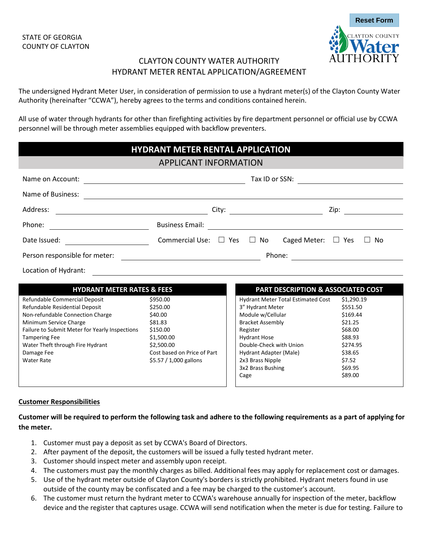

# CLAYTON COUNTY WATER AUTHORITY HYDRANT METER RENTAL APPLICATION/AGREEMENT

The undersigned Hydrant Meter User, in consideration of permission to use a hydrant meter(s) of the Clayton County Water Authority (hereinafter "CCWA"), hereby agrees to the terms and conditions contained herein.

All use of water through hydrants for other than firefighting activities by fire department personnel or official use by CCWA personnel will be through meter assemblies equipped with backflow preventers.

| <b>HYDRANT METER RENTAL APPLICATION</b>                                                                                                                                                                                                                                        |                                                                                                                                                                                                                                      |                                                                                                                                                                                                   |                                                                                                                                                                                                                             |                                                                                                                            |  |
|--------------------------------------------------------------------------------------------------------------------------------------------------------------------------------------------------------------------------------------------------------------------------------|--------------------------------------------------------------------------------------------------------------------------------------------------------------------------------------------------------------------------------------|---------------------------------------------------------------------------------------------------------------------------------------------------------------------------------------------------|-----------------------------------------------------------------------------------------------------------------------------------------------------------------------------------------------------------------------------|----------------------------------------------------------------------------------------------------------------------------|--|
| <b>APPLICANT INFORMATION</b>                                                                                                                                                                                                                                                   |                                                                                                                                                                                                                                      |                                                                                                                                                                                                   |                                                                                                                                                                                                                             |                                                                                                                            |  |
| Name on Account:                                                                                                                                                                                                                                                               |                                                                                                                                                                                                                                      | Tax ID or SSN:<br><u> 1980 - Johann Barn, mars ann an t-Amhain Aonaich an t-Aonaich an t-Aonaich ann an t-Aonaich ann an t-Aonaich</u><br><u> 1980 - Andrea Aonaich an Chomhair Aonaich an t-</u> |                                                                                                                                                                                                                             |                                                                                                                            |  |
| Name of Business:                                                                                                                                                                                                                                                              |                                                                                                                                                                                                                                      |                                                                                                                                                                                                   |                                                                                                                                                                                                                             |                                                                                                                            |  |
| Address:<br><u> 1980 - Johann Barn, mars eta bainar eta baina eta baina eta baina eta baina eta baina eta baina eta baina e</u>                                                                                                                                                |                                                                                                                                                                                                                                      |                                                                                                                                                                                                   |                                                                                                                                                                                                                             | Zip:                                                                                                                       |  |
| Phone:                                                                                                                                                                                                                                                                         | <b>Business Email:</b>                                                                                                                                                                                                               |                                                                                                                                                                                                   |                                                                                                                                                                                                                             |                                                                                                                            |  |
| Date Issued:                                                                                                                                                                                                                                                                   | Commercial Use: $\square$ Yes                                                                                                                                                                                                        |                                                                                                                                                                                                   | $\Box$ No Caged Meter: $\Box$ Yes                                                                                                                                                                                           | No<br>$\mathbf{1}$                                                                                                         |  |
| Person responsible for meter:                                                                                                                                                                                                                                                  | <u>and the state of the state of the state of the state of the state of the state of the state of the state of the state of the state of the state of the state of the state of the state of the state of the state of the state</u> |                                                                                                                                                                                                   |                                                                                                                                                                                                                             |                                                                                                                            |  |
| Location of Hydrant:                                                                                                                                                                                                                                                           |                                                                                                                                                                                                                                      |                                                                                                                                                                                                   |                                                                                                                                                                                                                             |                                                                                                                            |  |
| <b>HYDRANT METER RATES &amp; FEES</b>                                                                                                                                                                                                                                          |                                                                                                                                                                                                                                      |                                                                                                                                                                                                   | PART DESCRIPTION & ASSOCIATED COST                                                                                                                                                                                          |                                                                                                                            |  |
| Refundable Commercial Deposit<br>Refundable Residential Deposit<br>Non-refundable Connection Charge<br>Minimum Service Charge<br>Failure to Submit Meter for Yearly Inspections<br><b>Tampering Fee</b><br>Water Theft through Fire Hydrant<br>Damage Fee<br><b>Water Rate</b> | \$950.00<br>\$250.00<br>\$40.00<br>\$81.83<br>\$150.00<br>\$1,500.00<br>\$2,500.00<br>Cost based on Price of Part<br>\$5.57 / 1,000 gallons                                                                                          | Register<br>Cage                                                                                                                                                                                  | Hydrant Meter Total Estimated Cost<br>3" Hydrant Meter<br>Module w/Cellular<br><b>Bracket Assembly</b><br><b>Hydrant Hose</b><br>Double-Check with Union<br>Hydrant Adapter (Male)<br>2x3 Brass Nipple<br>3x2 Brass Bushing | \$1,290.19<br>\$551.50<br>\$169.44<br>\$21.25<br>\$68.00<br>\$88.93<br>\$274.95<br>\$38.65<br>\$7.52<br>\$69.95<br>\$89.00 |  |

### **Customer Responsibilities**

**Customer will be required to perform the following task and adhere to the following requirements as a part of applying for the meter.**

- 1. Customer must pay a deposit as set by CCWA's Board of Directors.
- 2. After payment of the deposit, the customers will be issued a fully tested hydrant meter.
- 3. Customer should inspect meter and assembly upon receipt.
- 4. The customers must pay the monthly charges as billed. Additional fees may apply for replacement cost or damages.
- 5. Use of the hydrant meter outside of Clayton County's borders is strictly prohibited. Hydrant meters found in use outside of the county may be confiscated and a fee may be charged to the customer's account.
- 6. The customer must return the hydrant meter to CCWA's warehouse annually for inspection of the meter, backflow device and the register that captures usage. CCWA will send notification when the meter is due for testing. Failure to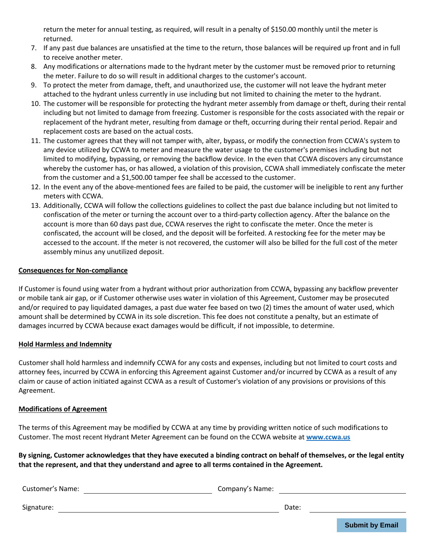return the meter for annual testing, as required, will result in a penalty of \$150.00 monthly until the meter is returned.

- 7. If any past due balances are unsatisfied at the time to the return, those balances will be required up front and in full to receive another meter.
- 8. Any modifications or alternations made to the hydrant meter by the customer must be removed prior to returning the meter. Failure to do so will result in additional charges to the customer's account.
- 9. To protect the meter from damage, theft, and unauthorized use, the customer will not leave the hydrant meter attached to the hydrant unless currently in use including but not limited to chaining the meter to the hydrant.
- 10. The customer will be responsible for protecting the hydrant meter assembly from damage or theft, during their rental including but not limited to damage from freezing. Customer is responsible for the costs associated with the repair or replacement of the hydrant meter, resulting from damage or theft, occurring during their rental period. Repair and replacement costs are based on the actual costs.
- 11. The customer agrees that they will not tamper with, alter, bypass, or modify the connection from CCWA's system to any device utilized by CCWA to meter and measure the water usage to the customer's premises including but not limited to modifying, bypassing, or removing the backflow device. In the even that CCWA discovers any circumstance whereby the customer has, or has allowed, a violation of this provision, CCWA shall immediately confiscate the meter from the customer and a \$1,500.00 tamper fee shall be accessed to the customer.
- 12. In the event any of the above-mentioned fees are failed to be paid, the customer will be ineligible to rent any further meters with CCWA.
- 13. Additionally, CCWA will follow the collections guidelines to collect the past due balance including but not limited to confiscation of the meter or turning the account over to a third-party collection agency. After the balance on the account is more than 60 days past due, CCWA reserves the right to confiscate the meter. Once the meter is confiscated, the account will be closed, and the deposit will be forfeited. A restocking fee for the meter may be accessed to the account. If the meter is not recovered, the customer will also be billed for the full cost of the meter assembly minus any unutilized deposit.

#### **Consequences for Non-compliance**

If Customer is found using water from a hydrant without prior authorization from CCWA, bypassing any backflow preventer or mobile tank air gap, or if Customer otherwise uses water in violation of this Agreement, Customer may be prosecuted and/or required to pay liquidated damages, a past due water fee based on two (2) times the amount of water used, which amount shall be determined by CCWA in its sole discretion. This fee does not constitute a penalty, but an estimate of damages incurred by CCWA because exact damages would be difficult, if not impossible, to determine.

#### **Hold Harmless and Indemnity**

Customer shall hold harmless and indemnify CCWA for any costs and expenses, including but not limited to court costs and attorney fees, incurred by CCWA in enforcing this Agreement against Customer and/or incurred by CCWA as a result of any claim or cause of action initiated against CCWA as a result of Customer's violation of any provisions or provisions of this Agreement.

#### **Modifications of Agreement**

The terms of this Agreement may be modified by CCWA at any time by providing written notice of such modifications to Customer. The most recent Hydrant Meter Agreement can be found on the CCWA website at **[www.ccwa.us](http://www.ccwa.us/)**

**By signing, Customer acknowledges that they have executed a binding contract on behalf of themselves, or the legal entity that the represent, and that they understand and agree to all terms contained in the Agreement.**

Customer's Name: Company's Name:

Signature: Date: